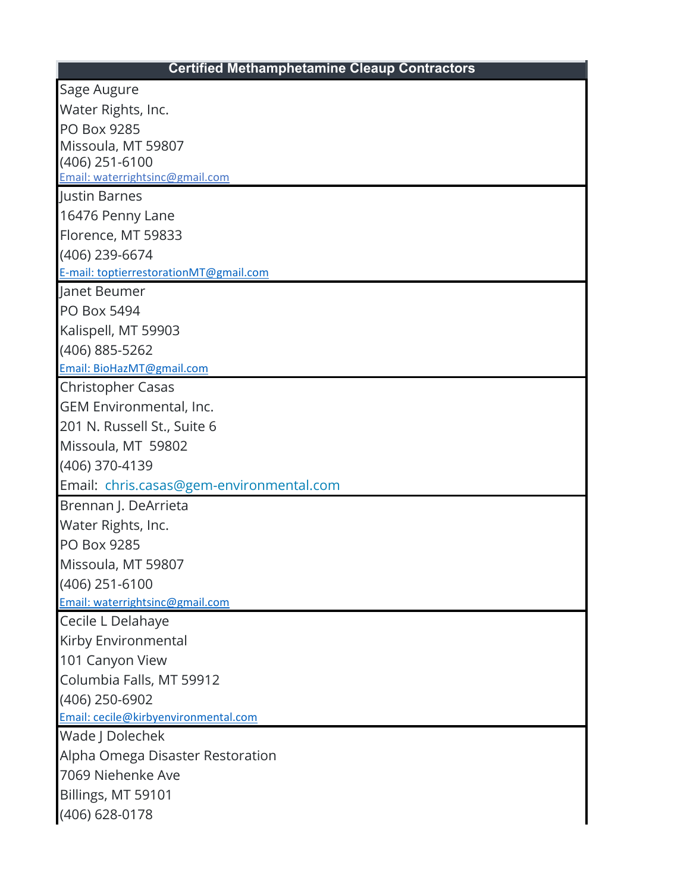## **Certified Methamphetamine Cleaup Contractors**

| Sage Augure                                      |
|--------------------------------------------------|
| Water Rights, Inc.                               |
| PO Box 9285                                      |
| Missoula, MT 59807                               |
| (406) 251-6100                                   |
| Email: waterrightsinc@gmail.com<br>Justin Barnes |
| 16476 Penny Lane                                 |
| Florence, MT 59833                               |
| (406) 239-6674                                   |
| E-mail: toptierrestorationMT@gmail.com           |
| Janet Beumer                                     |
| <b>PO Box 5494</b>                               |
| Kalispell, MT 59903                              |
| (406) 885-5262                                   |
| Email: BioHazMT@gmail.com                        |
| <b>Christopher Casas</b>                         |
| GEM Environmental, Inc.                          |
| 201 N. Russell St., Suite 6                      |
| Missoula, MT 59802                               |
| (406) 370-4139                                   |
| Email: chris.casas@gem-environmental.com         |
| Brennan J. DeArrieta                             |
| Water Rights, Inc.                               |
| PO Box 9285                                      |
| Missoula, MT 59807                               |
| $(406)$ 251-6100                                 |
| Email: waterrightsinc@gmail.com                  |
| Cecile L Delahaye                                |
| Kirby Environmental                              |
| 101 Canyon View                                  |
| Columbia Falls, MT 59912                         |
| (406) 250-6902                                   |
| Email: cecile@kirbyenvironmental.com             |
| Wade J Dolechek                                  |
| Alpha Omega Disaster Restoration                 |
| 7069 Niehenke Ave                                |
| Billings, MT 59101                               |
| (406) 628-0178                                   |
|                                                  |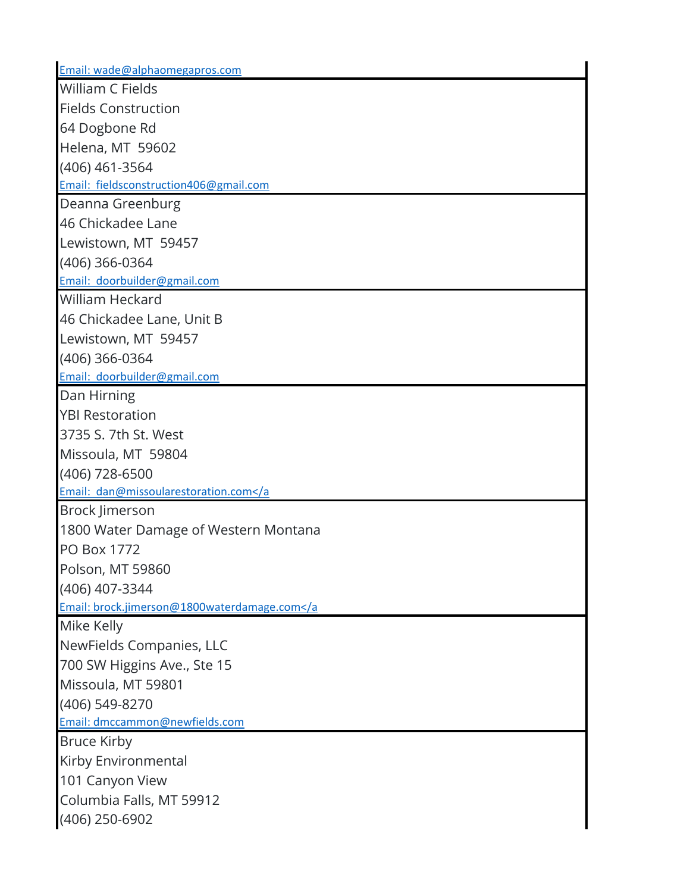| Email: wade@alphaomegapros.com            |
|-------------------------------------------|
| <b>William C Fields</b>                   |
| <b>Fields Construction</b>                |
| 64 Dogbone Rd                             |
| Helena, MT 59602                          |
| (406) 461-3564                            |
| Email: fieldsconstruction406@gmail.com    |
| Deanna Greenburg                          |
| 46 Chickadee Lane                         |
| Lewistown, MT 59457                       |
| (406) 366-0364                            |
| Email: doorbuilder@gmail.com              |
| <b>William Heckard</b>                    |
| 46 Chickadee Lane, Unit B                 |
| Lewistown, MT 59457                       |
| (406) 366-0364                            |
| Email: doorbuilder@gmail.com              |
| Dan Hirning                               |
| <b>YBI Restoration</b>                    |
| 3735 S. 7th St. West                      |
| Missoula, MT 59804                        |
| (406) 728-6500                            |
| Email: dan@missoularestoration.com        |
| <b>Brock Jimerson</b>                     |
| 1800 Water Damage of Western Montana      |
| <b>PO Box 1772</b>                        |
| Polson, MT 59860                          |
| (406) 407-3344                            |
| Email: brock.jimerson@1800waterdamage.com |
| Mike Kelly                                |
| NewFields Companies, LLC                  |
| 700 SW Higgins Ave., Ste 15               |
| Missoula, MT 59801                        |
| (406) 549-8270                            |
| Email: dmccammon@newfields.com            |
| <b>Bruce Kirby</b>                        |
| Kirby Environmental                       |
| 101 Canyon View                           |
| Columbia Falls, MT 59912                  |
| (406) 250-6902                            |
|                                           |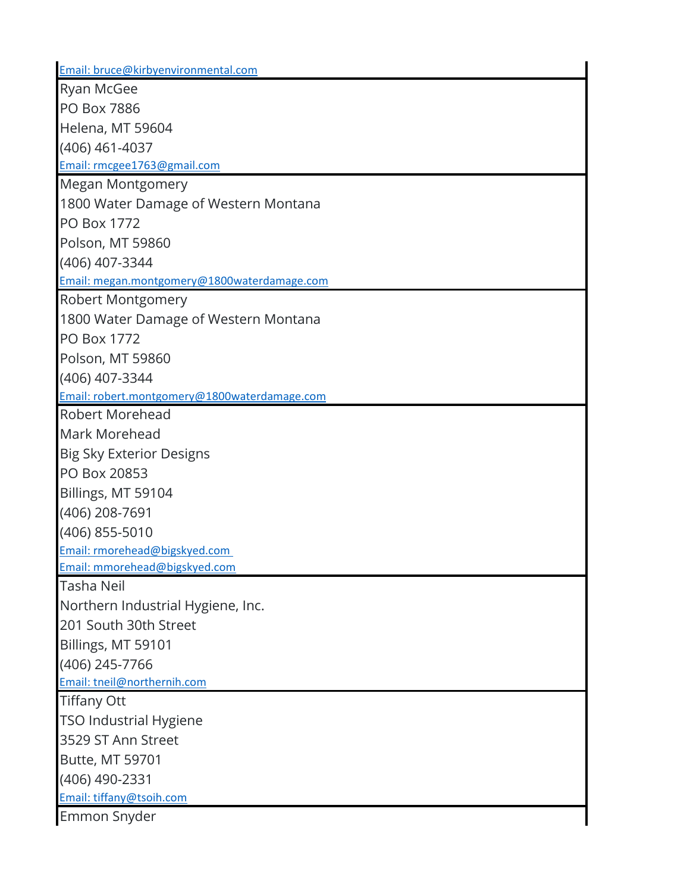| Email: bruce@kirbyenvironmental.com          |
|----------------------------------------------|
| <b>Ryan McGee</b>                            |
| <b>PO Box 7886</b>                           |
| Helena, MT 59604                             |
| (406) 461-4037                               |
| Email: rmcgee1763@gmail.com                  |
| Megan Montgomery                             |
| 1800 Water Damage of Western Montana         |
| <b>PO Box 1772</b>                           |
| Polson, MT 59860                             |
| (406) 407-3344                               |
| Email: megan.montgomery@1800waterdamage.com  |
| <b>Robert Montgomery</b>                     |
| 1800 Water Damage of Western Montana         |
| <b>PO Box 1772</b>                           |
| Polson, MT 59860                             |
| (406) 407-3344                               |
| Email: robert.montgomery@1800waterdamage.com |
| <b>Robert Morehead</b>                       |
| Mark Morehead                                |
| <b>Big Sky Exterior Designs</b>              |
| PO Box 20853                                 |
| Billings, MT 59104                           |
| (406) 208-7691                               |
| (406) 855-5010                               |
| Email: rmorehead@bigskyed.com                |
| Email: mmorehead@bigskyed.com                |
| <b>Tasha Neil</b>                            |
| Northern Industrial Hygiene, Inc.            |
| 201 South 30th Street                        |
| Billings, MT 59101                           |
| (406) 245-7766                               |
| Email: tneil@northernih.com                  |
| <b>Tiffany Ott</b>                           |
| <b>TSO Industrial Hygiene</b>                |
| 3529 ST Ann Street                           |
| Butte, MT 59701                              |
| (406) 490-2331                               |
| Email: tiffany@tsoih.com                     |
| Emmon Snyder                                 |